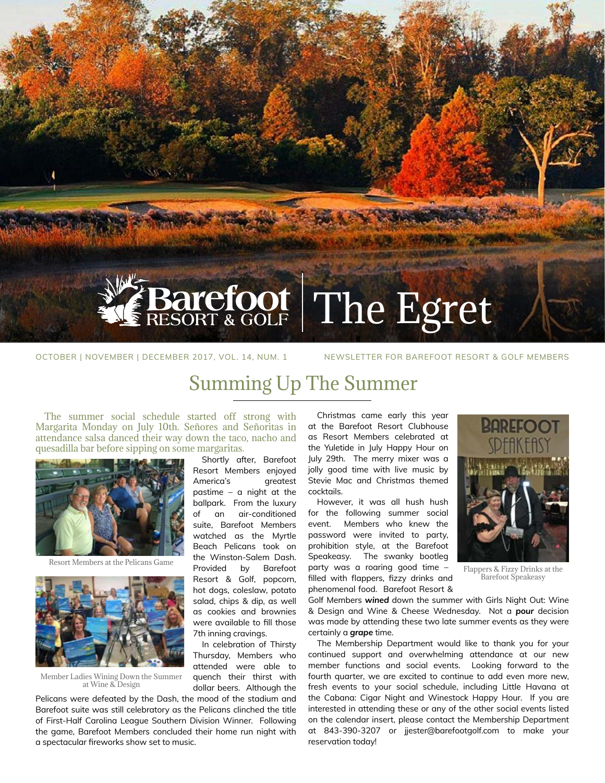# Barefoot The Egret

Shortly after, Barefoot Resort Members enjoyed America's greatest pastime – a night at the ballpark. From the luxury of an air-conditioned suite, Barefoot Members watched as the Myrtle Beach Pelicans took on the Winston-Salem Dash. Provided by Barefoot Resort & Golf, popcorn, hot dogs, coleslaw, potato salad, chips & dip, as well as cookies and brownies were available to fill those 7th inning cravings.

In celebration of Thirsty Thursday, Members who attended were able to quench their thirst with dollar beers. Although the

OCTOBER | NOVEMBER | DECEMBER 2017, VOL. 14, NUM. 1 NEWSLETTER FOR BAREFOOT RESORT & GOLF MEMBERS

## Summing Up The Summer

The summer social schedule started off strong with Margarita Monday on July 10th. Señores and Señoritas in attendance salsa danced their way down the taco, nacho and quesadilla bar before sipping on some margaritas.



Resort Members at the Pelicans Game



Member Ladies Wining Down the Summer at Wine & Design

Pelicans were defeated by the Dash, the mood of the stadium and Barefoot suite was still celebratory as the Pelicans clinched the title of First-Half Carolina League Southern Division Winner. Following the game, Barefoot Members concluded their home run night with a spectacular fireworks show set to music.

Christmas came early this year at the Barefoot Resort Clubhouse as Resort Members celebrated at the Yuletide in July Happy Hour on July 29th. The merry mixer was a jolly good time with live music by Stevie Mac and Christmas themed cocktails.

However, it was all hush hush for the following summer social event. Members who knew the password were invited to party, prohibition style, at the Barefoot Speakeasy. The swanky bootleg party was a roaring good time – filled with flappers, fizzy drinks and phenomenal food. Barefoot Resort &



Flappers & Fizzy Drinks at the Barefoot Speakeasy

Golf Members *wined* down the summer with Girls Night Out: Wine & Design and Wine & Cheese Wednesday. Not a *pour* decision was made by attending these two late summer events as they were certainly a *grape* time.

The Membership Department would like to thank you for your continued support and overwhelming attendance at our new member functions and social events. Looking forward to the fourth quarter, we are excited to continue to add even more new, fresh events to your social schedule, including Little Havana at the Cabana: Cigar Night and Winestock Happy Hour. If you are interested in attending these or any of the other social events listed on the calendar insert, please contact the Membership Department at 843-390-3207 or jjester@barefootgolf.com to make your reservation today!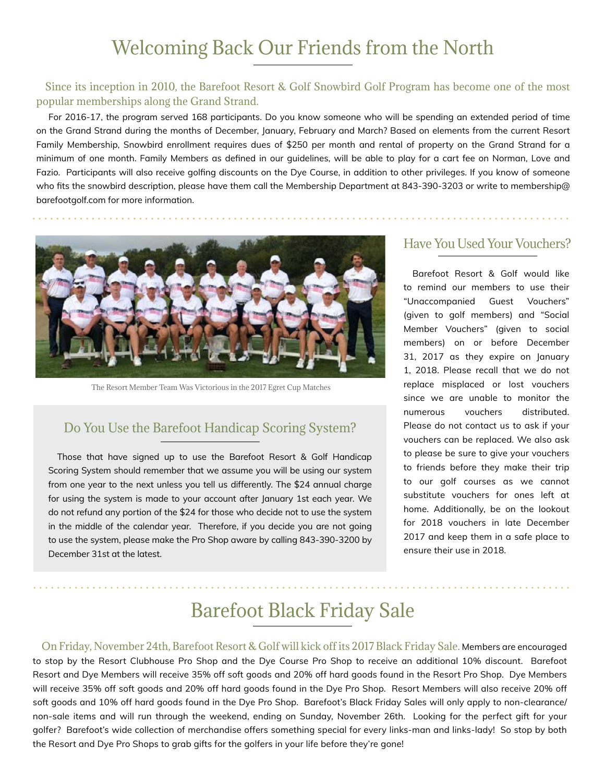## Welcoming Back Our Friends from the North

#### Since its inception in 2010, the Barefoot Resort & Golf Snowbird Golf Program has become one of the most popular memberships along the Grand Strand.

For 2016-17, the program served 168 participants. Do you know someone who will be spending an extended period of time on the Grand Strand during the months of December, January, February and March? Based on elements from the current Resort Family Membership, Snowbird enrollment requires dues of \$250 per month and rental of property on the Grand Strand for a minimum of one month. Family Members as defined in our guidelines, will be able to play for a cart fee on Norman, Love and Fazio. Participants will also receive golfing discounts on the Dye Course, in addition to other privileges. If you know of someone who fits the snowbird description, please have them call the Membership Department at 843-390-3203 or write to membership@ barefootgolf.com for more information.



The Resort Member Team Was Victorious in the 2017 Egret Cup Matches

#### Do You Use the Barefoot Handicap Scoring System?

Those that have signed up to use the Barefoot Resort & Golf Handicap Scoring System should remember that we assume you will be using our system from one year to the next unless you tell us differently. The \$24 annual charge for using the system is made to your account after January 1st each year. We do not refund any portion of the \$24 for those who decide not to use the system in the middle of the calendar year. Therefore, if you decide you are not going to use the system, please make the Pro Shop aware by calling 843-390-3200 by December 31st at the latest.

#### Have You Used Your Vouchers?

Barefoot Resort & Golf would like to remind our members to use their "Unaccompanied Guest Vouchers" (given to golf members) and "Social Member Vouchers" (given to social members) on or before December 31, 2017 as they expire on January 1, 2018. Please recall that we do not replace misplaced or lost vouchers since we are unable to monitor the numerous vouchers distributed. Please do not contact us to ask if your vouchers can be replaced. We also ask to please be sure to give your vouchers to friends before they make their trip to our golf courses as we cannot substitute vouchers for ones left at home. Additionally, be on the lookout for 2018 vouchers in late December 2017 and keep them in a safe place to ensure their use in 2018.

## Barefoot Black Friday Sale

On Friday, November 24th, Barefoot Resort & Golf will kick off its 2017 Black Friday Sale. Members are encouraged to stop by the Resort Clubhouse Pro Shop and the Dye Course Pro Shop to receive an additional 10% discount. Barefoot Resort and Dye Members will receive 35% off soft goods and 20% off hard goods found in the Resort Pro Shop. Dye Members will receive 35% off soft goods and 20% off hard goods found in the Dye Pro Shop. Resort Members will also receive 20% off soft goods and 10% off hard goods found in the Dye Pro Shop. Barefoot's Black Friday Sales will only apply to non-clearance/ non-sale items and will run through the weekend, ending on Sunday, November 26th. Looking for the perfect gift for your golfer? Barefoot's wide collection of merchandise offers something special for every links-man and links-lady! So stop by both the Resort and Dye Pro Shops to grab gifts for the golfers in your life before they're gone!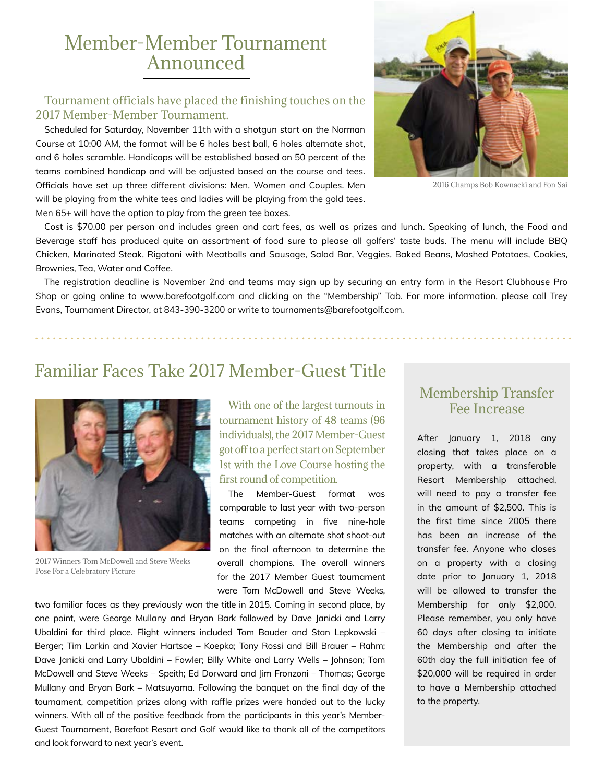## Member-Member Tournament Announced

#### Tournament officials have placed the finishing touches on the 2017 Member-Member Tournament.

Scheduled for Saturday, November 11th with a shotgun start on the Norman Course at 10:00 AM, the format will be 6 holes best ball, 6 holes alternate shot, and 6 holes scramble. Handicaps will be established based on 50 percent of the teams combined handicap and will be adjusted based on the course and tees. Officials have set up three different divisions: Men, Women and Couples. Men will be playing from the white tees and ladies will be playing from the gold tees. Men 65+ will have the option to play from the green tee boxes.



2016 Champs Bob Kownacki and Fon Sai

Cost is \$70.00 per person and includes green and cart fees, as well as prizes and lunch. Speaking of lunch, the Food and Beverage staff has produced quite an assortment of food sure to please all golfers' taste buds. The menu will include BBQ Chicken, Marinated Steak, Rigatoni with Meatballs and Sausage, Salad Bar, Veggies, Baked Beans, Mashed Potatoes, Cookies, Brownies, Tea, Water and Coffee.

The registration deadline is November 2nd and teams may sign up by securing an entry form in the Resort Clubhouse Pro Shop or going online to www.barefootgolf.com and clicking on the "Membership" Tab. For more information, please call Trey Evans, Tournament Director, at 843-390-3200 or write to tournaments@barefootgolf.com.

### Familiar Faces Take 2017 Member-Guest Title



2017 Winners Tom McDowell and Steve Weeks Pose For a Celebratory Picture

With one of the largest turnouts in tournament history of 48 teams (96 individuals), the 2017 Member-Guest got off to a perfect start on September 1st with the Love Course hosting the first round of competition.

The Member-Guest format was comparable to last year with two-person teams competing in five nine-hole matches with an alternate shot shoot-out on the final afternoon to determine the overall champions. The overall winners for the 2017 Member Guest tournament were Tom McDowell and Steve Weeks,

two familiar faces as they previously won the title in 2015. Coming in second place, by one point, were George Mullany and Bryan Bark followed by Dave Janicki and Larry Ubaldini for third place. Flight winners included Tom Bauder and Stan Lepkowski – Berger; Tim Larkin and Xavier Hartsoe – Koepka; Tony Rossi and Bill Brauer – Rahm; Dave Janicki and Larry Ubaldini – Fowler; Billy White and Larry Wells – Johnson; Tom McDowell and Steve Weeks – Speith; Ed Dorward and Jim Fronzoni – Thomas; George Mullany and Bryan Bark – Matsuyama. Following the banquet on the final day of the tournament, competition prizes along with raffle prizes were handed out to the lucky winners. With all of the positive feedback from the participants in this year's Member-Guest Tournament, Barefoot Resort and Golf would like to thank all of the competitors and look forward to next year's event.

#### Membership Transfer Fee Increase

After January 1, 2018 any closing that takes place on a property, with a transferable Resort Membership attached, will need to pay a transfer fee in the amount of \$2,500. This is the first time since 2005 there has been an increase of the transfer fee. Anyone who closes on a property with a closing date prior to January 1, 2018 will be allowed to transfer the Membership for only \$2,000. Please remember, you only have 60 days after closing to initiate the Membership and after the 60th day the full initiation fee of \$20,000 will be required in order to have a Membership attached to the property.